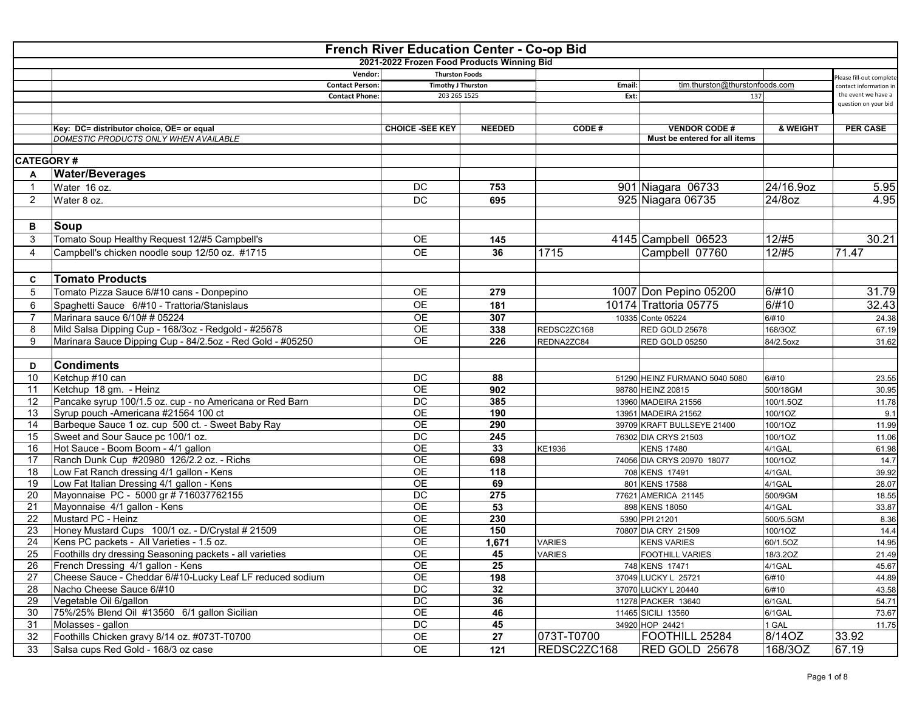|                  | <b>French River Education Center - Co-op Bid</b>          |                                            |                  |               |                                |                           |                                             |  |  |  |  |
|------------------|-----------------------------------------------------------|--------------------------------------------|------------------|---------------|--------------------------------|---------------------------|---------------------------------------------|--|--|--|--|
|                  |                                                           | 2021-2022 Frozen Food Products Winning Bid |                  |               |                                |                           |                                             |  |  |  |  |
|                  | Vendor:                                                   | <b>Thurston Foods</b>                      |                  |               |                                |                           | Please fill-out complete                    |  |  |  |  |
|                  | <b>Contact Person:</b>                                    | <b>Timothy J Thurston</b>                  |                  | Email:        | tim.thurston@thurstonfoods.com |                           | contact information i                       |  |  |  |  |
|                  | <b>Contact Phone:</b>                                     | 203 265 1525                               |                  | Ext:          | 137                            |                           | the event we have a<br>question on your bid |  |  |  |  |
|                  |                                                           |                                            |                  |               |                                |                           |                                             |  |  |  |  |
|                  | Key: DC= distributor choice, OE= or equal                 | <b>CHOICE -SEE KEY</b>                     | <b>NEEDED</b>    | CODE#         | <b>VENDOR CODE#</b>            | & WEIGHT                  | <b>PER CASE</b>                             |  |  |  |  |
|                  | DOMESTIC PRODUCTS ONLY WHEN AVAILABLE                     |                                            |                  |               | Must be entered for all items  |                           |                                             |  |  |  |  |
|                  |                                                           |                                            |                  |               |                                |                           |                                             |  |  |  |  |
| <b>CATEGORY#</b> |                                                           |                                            |                  |               |                                |                           |                                             |  |  |  |  |
| A                | <b>Water/Beverages</b>                                    |                                            |                  |               |                                |                           |                                             |  |  |  |  |
| -1               | Water 16 oz.                                              | DC                                         | 753              |               | 901 Niagara 06733              | 24/16.9oz                 | 5.95                                        |  |  |  |  |
|                  |                                                           |                                            |                  |               |                                |                           |                                             |  |  |  |  |
| $\overline{2}$   | Water 8 oz.                                               | <b>DC</b>                                  | 695              |               | 925 Niagara 06735              | 24/8oz                    | 4.95                                        |  |  |  |  |
|                  |                                                           |                                            |                  |               |                                |                           |                                             |  |  |  |  |
| В                | Soup                                                      |                                            |                  |               |                                |                           |                                             |  |  |  |  |
| 3                | Tomato Soup Healthy Request 12/#5 Campbell's              | <b>OE</b>                                  | 145              |               | 4145 Campbell 06523            | $\frac{1}{2}/\frac{4}{5}$ | 30.21                                       |  |  |  |  |
| $\overline{4}$   | Campbell's chicken noodle soup 12/50 oz. #1715            | <b>OE</b>                                  | 36               | 1715          | Campbell 07760                 | 12/#5                     | 71.47                                       |  |  |  |  |
|                  |                                                           |                                            |                  |               |                                |                           |                                             |  |  |  |  |
| C                | <b>Tomato Products</b>                                    |                                            |                  |               |                                |                           |                                             |  |  |  |  |
| 5                | Tomato Pizza Sauce 6/#10 cans - Donpepino                 | <b>OE</b>                                  | 279              |               | 1007 Don Pepino 05200          | 6/#10                     | 31.79                                       |  |  |  |  |
|                  | Spaghetti Sauce 6/#10 - Trattoria/Stanislaus              | <b>OE</b>                                  | 181              |               | 10174 Trattoria 05775          | 6/#10                     | 32.43                                       |  |  |  |  |
| 6                |                                                           |                                            |                  |               |                                |                           |                                             |  |  |  |  |
|                  | Marinara sauce 6/10# # 05224                              | <b>OE</b>                                  | 307              |               | 10335 Conte 05224              | 6/#10                     | 24.38                                       |  |  |  |  |
| 8                | Mild Salsa Dipping Cup - 168/3oz - Redgold - #25678       | <b>OE</b>                                  | 338              | REDSC2ZC168   | RED GOLD 25678                 | 168/3OZ                   | 67.19                                       |  |  |  |  |
| 9                | Marinara Sauce Dipping Cup - 84/2.5oz - Red Gold - #05250 | <b>OE</b>                                  | 226              | REDNA2ZC84    | <b>RED GOLD 05250</b>          | 84/2.5oxz                 | 31.62                                       |  |  |  |  |
|                  |                                                           |                                            |                  |               |                                |                           |                                             |  |  |  |  |
| D                | <b>Condiments</b>                                         |                                            |                  |               |                                |                           |                                             |  |  |  |  |
| 10               | Ketchup #10 can                                           | DC                                         | 88               |               | 51290 HEINZ FURMANO 5040 5080  | 6/#10                     | 23.55                                       |  |  |  |  |
| 11               | Ketchup 18 gm. - Heinz                                    | $\overline{OE}$                            | 902              |               | 98780 HEINZ 20815              | 500/18GM                  | 30.95                                       |  |  |  |  |
| 12               | Pancake syrup 100/1.5 oz. cup - no Americana or Red Barn  | DC                                         | 385              |               | 13960 MADEIRA 21556            | 100/1.5OZ                 | 11.78                                       |  |  |  |  |
| 13               | Syrup pouch -Americana #21564 100 ct                      | <b>OE</b>                                  | 190              |               | 13951 MADEIRA 21562            | 100/1OZ                   | 9.1                                         |  |  |  |  |
| 14               | Barbeque Sauce 1 oz. cup 500 ct. - Sweet Baby Ray         | <b>OE</b>                                  | 290              |               | 39709 KRAFT BULLSEYE 21400     | 100/1OZ                   | 11.99                                       |  |  |  |  |
| 15               | Sweet and Sour Sauce pc 100/1 oz.                         | $\overline{DC}$                            | 245              |               | 76302 DIA CRYS 21503           | 100/1OZ                   | 11.06                                       |  |  |  |  |
| 16               | Hot Sauce - Boom Boom - 4/1 gallon                        | $\overline{OE}$                            | 33               | KE1936        | <b>KENS 17480</b>              | 4/1GAL                    | 61.98                                       |  |  |  |  |
| 17               | Ranch Dunk Cup #20980 126/2.2 oz. - Richs                 | <b>OE</b>                                  | 698              |               | 74056 DIA CRYS 20970 18077     | 100/1OZ                   | 14.7                                        |  |  |  |  |
| 18               | Low Fat Ranch dressing 4/1 gallon - Kens                  | <b>OE</b>                                  | $\overline{118}$ |               | 708 KENS 17491                 | 4/1GAL                    | 39.92                                       |  |  |  |  |
| 19               | Low Fat Italian Dressing 4/1 gallon - Kens                | $\overline{OE}$                            | 69               |               | 801 KENS 17588                 | 4/1GAL                    | 28.07                                       |  |  |  |  |
| 20               | Mayonnaise PC - 5000 gr # 716037762155                    | $\overline{DC}$                            | 275              |               | 77621 AMERICA 21145            | 500/9GM                   | 18.55                                       |  |  |  |  |
| 21               | Mayonnaise 4/1 gallon - Kens                              | $\overline{OE}$                            | 53               |               | 898 KENS 18050                 | 4/1GAL                    | 33.87                                       |  |  |  |  |
| 22               | Mustard PC - Heinz                                        | OE                                         | 230              |               | 5390 PPI 21201                 | 500/5.5GM                 | 8.36                                        |  |  |  |  |
| 23               | Honey Mustard Cups 100/1 oz. - D/Crystal # 21509          | <b>OE</b>                                  | 150              |               | 70807 DIA CRY 21509            | 100/1OZ                   | 14.4                                        |  |  |  |  |
| 24               | Kens PC packets - All Varieties - 1.5 oz.                 | <b>OE</b>                                  | 1,671            | <b>VARIES</b> | <b>KENS VARIES</b>             | 60/1.5OZ                  | 14.95                                       |  |  |  |  |
| 25               | Foothills dry dressing Seasoning packets - all varieties  | <b>OE</b>                                  | 45               | <b>VARIES</b> | <b>FOOTHILL VARIES</b>         | 18/3.2OZ                  | 21.49                                       |  |  |  |  |
| 26               | French Dressing 4/1 gallon - Kens                         | OE                                         | 25               |               | 748 KENS 17471                 | 4/1GAL                    | 45.67                                       |  |  |  |  |
| 27               | Cheese Sauce - Cheddar 6/#10-Lucky Leaf LF reduced sodium | OE                                         | 198              |               | 37049 LUCKY L 25721            | 6/#10                     | 44.89                                       |  |  |  |  |
| 28               | Nacho Cheese Sauce 6/#10                                  | DC                                         | 32               |               | 37070 LUCKY L 20440            | 6/#10                     | 43.58                                       |  |  |  |  |
| 29               | Vegetable Oil 6/gallon                                    | DC                                         | 36               |               | 11278 PACKER 13640             | 6/1GAL                    | 54.71                                       |  |  |  |  |
| 30               | 75%/25% Blend Oil #13560 6/1 gallon Sicilian              | OE                                         | 46               |               | 11465 SICILI 13560             | 6/1GAL                    | 73.67                                       |  |  |  |  |
| 31               | Molasses - gallon                                         | $_{\rm DC}$                                | 45               |               | 34920 HOP 24421                | 1 GAL                     | 11.75                                       |  |  |  |  |
| 32               | Foothills Chicken gravy 8/14 oz. #073T-T0700              | OE                                         | 27               | 073T-T0700    | FOOTHILL 25284                 | 8/14OZ                    | 33.92                                       |  |  |  |  |
| 33               | Salsa cups Red Gold - 168/3 oz case                       | OE                                         | 121              | REDSC2ZC168   | RED GOLD 25678                 | 168/3OZ                   | 67.19                                       |  |  |  |  |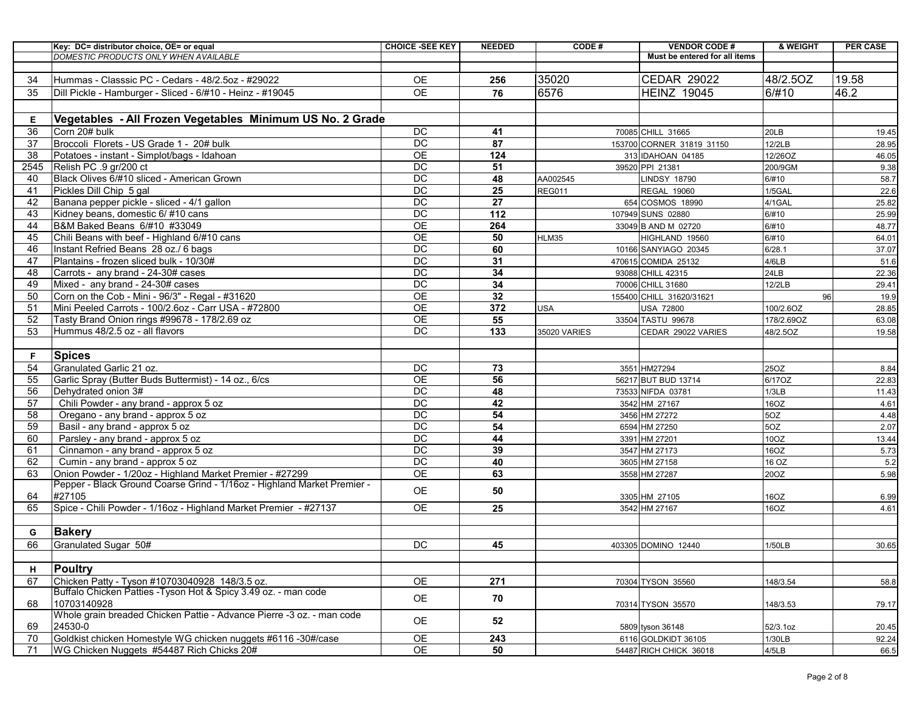|      | Key: DC= distributor choice, OE= or equal                               | <b>CHOICE -SEE KEY</b> | <b>NEEDED</b>   | CODE#         | <b>VENDOR CODE#</b>           | & WEIGHT   | <b>PER CASE</b> |
|------|-------------------------------------------------------------------------|------------------------|-----------------|---------------|-------------------------------|------------|-----------------|
|      | <b>DOMESTIC PRODUCTS ONLY WHEN AVAILABLE</b>                            |                        |                 |               | Must be entered for all items |            |                 |
|      |                                                                         |                        |                 |               |                               |            |                 |
| 34   | Hummas - Classsic PC - Cedars - 48/2.5oz - #29022                       | <b>OE</b>              | 256             | 35020         | <b>CEDAR 29022</b>            | 48/2.5OZ   | 19.58           |
| 35   | Dill Pickle - Hamburger - Sliced - 6/#10 - Heinz - #19045               | <b>OE</b>              | 76              | 6576          | <b>HEINZ 19045</b>            | 6/#10      | 46.2            |
|      |                                                                         |                        |                 |               |                               |            |                 |
| Е    | Vegetables - All Frozen Vegetables Minimum US No. 2 Grade               |                        |                 |               |                               |            |                 |
| 36   | Corn 20# bulk                                                           | DC                     | 41              |               | 70085 CHILL 31665             | 20LB       | 19.45           |
| 37   | Broccoli Florets - US Grade 1 - 20# bulk                                | <b>DC</b>              | 87              |               | 153700 CORNER 31819 31150     | 12/2LB     | 28.95           |
| 38   | Potatoes - instant - Simplot/bags - Idahoan                             | <b>OE</b>              | 124             |               | 313 IDAHOAN 04185             | 12/26OZ    | 46.05           |
| 2545 | Relish PC .9 gr/200 ct                                                  | $\overline{DC}$        | 51              |               | 39520 PPI 21381               | 200/9GM    | 9.38            |
| 40   | Black Olives 6/#10 sliced - American Grown                              | $\overline{DC}$        | 48              | AA002545      | <b>LINDSY 18790</b>           | 6/#10      | 58.7            |
| 41   | Pickles Dill Chip 5 gal                                                 | DC                     | 25              | <b>REG011</b> | <b>REGAL 19060</b>            | 1/5GAL     | 22.6            |
| 42   | Banana pepper pickle - sliced - 4/1 gallon                              | DC                     | 27              |               | 654 COSMOS 18990              | 4/1GAL     | 25.82           |
| 43   | Kidney beans, domestic 6/ #10 cans                                      | $\overline{DC}$        | 112             |               | 107949 SUNS 02880             | 6/#10      | 25.99           |
| 44   | B&M Baked Beans 6/#10 #33049                                            | <b>OE</b>              | 264             |               | 33049 B AND M 02720           | 6/#10      | 48.77           |
| 45   | Chili Beans with beef - Highland 6/#10 cans                             | $\overline{OE}$        | 50              | HLM35         | HIGHLAND 19560                | 6/#10      | 64.01           |
| 46   | Instant Refried Beans 28 oz./ 6 bags                                    | $\overline{DC}$        | 60              |               | 10166 SANYIAGO 20345          | 6/28.1     | 37.07           |
| 47   | Plantains - frozen sliced bulk - 10/30#                                 | DC                     | $\overline{31}$ |               | 470615 COMIDA 25132           | 4/6LB      | 51.6            |
| 48   | Carrots - any brand - 24-30# cases                                      | $\overline{DC}$        | 34              |               | 93088 CHILL 42315             | 24LB       | 22.36           |
| 49   | Mixed - any brand - 24-30# cases                                        | DC                     | 34              |               | 70006 CHILL 31680             | 12/2LB     | 29.41           |
| 50   | Corn on the Cob - Mini - 96/3" - Regal - #31620                         | $\overline{OE}$        | 32              |               | 155400 CHILL 31620/31621      | 96         | 19.9            |
| 51   | Mini Peeled Carrots - 100/2.6oz - Carr USA - #72800                     | $\overline{OE}$        | 372             | <b>USA</b>    | <b>USA 72800</b>              | 100/2.6OZ  | 28.85           |
| 52   | Tasty Brand Onion rings #99678 - 178/2.69 oz                            | $\overline{OE}$        | 55              |               | 33504 TASTU 99678             | 178/2.69OZ | 63.08           |
| 53   | Hummus 48/2.5 oz - all flavors                                          | DC                     | 133             | 35020 VARIES  | CEDAR 29022 VARIES            | 48/2.5OZ   | 19.58           |
|      |                                                                         |                        |                 |               |                               |            |                 |
| F.   | <b>Spices</b>                                                           |                        |                 |               |                               |            |                 |
| 54   | Granulated Garlic 21 oz.                                                | <b>DC</b>              | 73              |               | 3551 HM27294                  | 25OZ       | 8.84            |
| 55   | Garlic Spray (Butter Buds Buttermist) - 14 oz., 6/cs                    | <b>OE</b>              | 56              |               | 56217 BUT BUD 13714           | 6/17OZ     | 22.83           |
| 56   | Dehydrated onion 3#                                                     | $\overline{DC}$        | 48              |               | 73533 NIFDA 03781             | 1/3LB      | 11.43           |
| 57   | Chili Powder - any brand - approx 5 oz                                  | DC                     | 42              |               | 3542 HM 27167                 | 16OZ       | 4.61            |
| 58   | Oregano - any brand - approx 5 oz                                       | $\overline{DC}$        | 54              |               | 3456 HM 27272                 | 5OZ        | 4.48            |
| 59   | Basil - any brand - approx 5 oz                                         | $\overline{DC}$        | 54              |               | 6594 HM 27250                 | 5OZ        | 2.07            |
| 60   | Parsley - any brand - approx 5 oz                                       | DC                     | 44              |               | 3391 HM 27201                 | 10OZ       | 13.44           |
| 61   | Cinnamon - any brand - approx 5 oz                                      | <b>DC</b>              | 39              |               | 3547 HM 27173                 | 16OZ       | 5.73            |
| 62   | Cumin - any brand - approx 5 oz                                         | DC                     | 40              |               | 3605 HM 27158                 | 16 OZ      | 5.2             |
| 63   | Onion Powder - 1/20oz - Highland Market Premier - #27299                | <b>OE</b>              | 63              |               | 3558 HM 27287                 | 20OZ       | 5.98            |
|      | Pepper - Black Ground Coarse Grind - 1/16oz - Highland Market Premier - | OE                     | 50              |               |                               |            |                 |
| 64   | #27105                                                                  |                        |                 |               | 3305 HM 27105                 | 16OZ       | 6.99            |
| 65   | Spice - Chili Powder - 1/16oz - Highland Market Premier - #27137        | OE                     | 25              |               | 3542 HM 27167                 | 16OZ       | 4.61            |
|      |                                                                         |                        |                 |               |                               |            |                 |
| G    | <b>Bakery</b>                                                           |                        |                 |               |                               |            |                 |
| 66   | Granulated Sugar 50#                                                    | DC                     | 45              |               | 403305 DOMINO 12440           | 1/50LB     | 30.65           |
|      |                                                                         |                        |                 |               |                               |            |                 |
| н    | Poultry                                                                 |                        |                 |               |                               |            |                 |
| 67   | Chicken Patty - Tyson #10703040928 148/3.5 oz.                          | $\overline{OE}$        | 271             |               | 70304 TYSON 35560             | 148/3.54   | 58.8            |
|      | Buffalo Chicken Patties - Tyson Hot & Spicy 3.49 oz. - man code         | OE                     | 70              |               |                               |            |                 |
| 68   | 10703140928                                                             |                        |                 |               | 70314 TYSON 35570             | 148/3.53   | 79.17           |
|      | Whole grain breaded Chicken Pattie - Advance Pierre -3 oz. - man code   | OE                     | 52              |               |                               |            |                 |
| 69   | 24530-0                                                                 |                        |                 |               | 5809 tyson 36148              | 52/3.1oz   | 20.45           |
| 70   | Goldkist chicken Homestyle WG chicken nuggets #6116 -30#/case           | OE                     | 243             |               | 6116 GOLDKIDT 36105           | 1/30LB     | 92.24           |
| 71   | WG Chicken Nuggets #54487 Rich Chicks 20#                               | OE                     | 50              |               | 54487 RICH CHICK 36018        | 4/5LB      | 66.5            |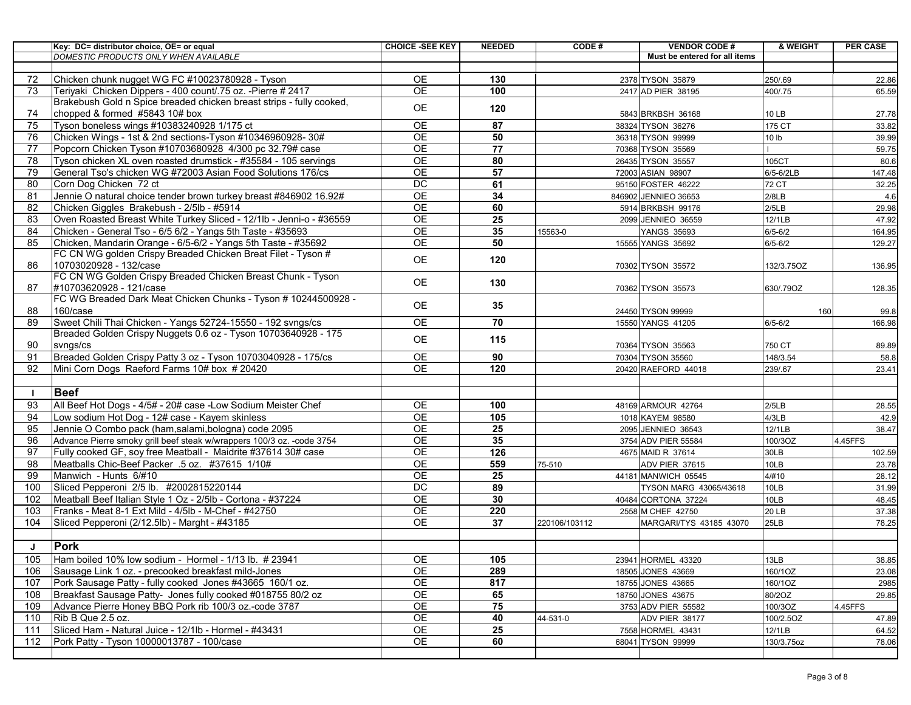|          | Key: DC= distributor choice, OE= or equal                                                                                     | <b>CHOICE -SEE KEY</b>             | <b>NEEDED</b>   | <b>CODE#</b>  | <b>VENDOR CODE#</b>           | & WEIGHT         | <b>PER CASE</b> |
|----------|-------------------------------------------------------------------------------------------------------------------------------|------------------------------------|-----------------|---------------|-------------------------------|------------------|-----------------|
|          | DOMESTIC PRODUCTS ONLY WHEN AVAILABLE                                                                                         |                                    |                 |               | Must be entered for all items |                  |                 |
|          |                                                                                                                               |                                    |                 |               |                               |                  |                 |
| 72       | Chicken chunk nugget WG FC #10023780928 - Tyson                                                                               | <b>OE</b>                          | 130             |               | 2378 TYSON 35879              | 250/.69          | 22.86           |
| 73       | Teriyaki Chicken Dippers - 400 count/.75 oz. - Pierre # 2417                                                                  | <b>OE</b>                          | 100             |               | 2417 AD PIER 38195            | 400/.75          | 65.59           |
|          | Brakebush Gold n Spice breaded chicken breast strips - fully cooked,                                                          | <b>OE</b>                          | 120             |               |                               |                  |                 |
| 74       | chopped & formed #5843 10# box                                                                                                |                                    |                 |               | 5843 BRKBSH 36168             | 10 LB            | 27.78           |
| 75       | Tyson boneless wings #10383240928 1/175 ct                                                                                    | <b>OE</b>                          | 87              |               | 38324 TYSON 36276             | 175 CT           | 33.82           |
| 76       | Chicken Wings - 1st & 2nd sections-Tyson #10346960928-30#                                                                     | $\overline{OE}$<br>$\overline{OE}$ | 50              |               | 36318 TYSON 99999             | 10 <sub>lb</sub> | 39.99           |
| 77       | Popcorn Chicken Tyson #10703680928 4/300 pc 32.79# case                                                                       |                                    | 77              |               | 70368 TYSON 35569             |                  | 59.75           |
| 78       | Tyson chicken XL oven roasted drumstick - #35584 - 105 servings                                                               | $\overline{OE}$                    | 80              |               | 26435 TYSON 35557             | 105CT            | 80.6            |
| 79       | General Tso's chicken WG #72003 Asian Food Solutions 176/cs<br>Corn Dog Chicken 72 ct                                         | $\overline{OE}$<br>DC              | 57<br>61        |               | 72003 ASIAN 98907             | 6/5-6/2LB        | 147.48          |
| 80       |                                                                                                                               | $\overline{OE}$                    |                 |               | 95150 FOSTER 46222            | 72 CT            | 32.25           |
| 81       | Jennie O natural choice tender brown turkey breast #846902 16.92#                                                             |                                    | 34              |               | 846902 JENNIEO 36653          | 2/8LB            | 4.6             |
| 82       | Chicken Giggles Brakebush - 2/5lb - #5914                                                                                     | OE                                 | 60              |               | 5914 BRKBSH 99176             | 2/5LB            | 29.98           |
| 83       | Oven Roasted Breast White Turkey Sliced - 12/1lb - Jenni-o - #36559                                                           | OE                                 | $\overline{25}$ |               | 2099 JENNIEO 36559            | 12/1LB           | 47.92           |
| 84<br>85 | Chicken - General Tso - 6/5 6/2 - Yangs 5th Taste - #35693                                                                    | $\overline{OE}$<br>OE              | 35              | 15563-0       | <b>YANGS 35693</b>            | $6/5 - 6/2$      | 164.95          |
|          | Chicken, Mandarin Orange - 6/5-6/2 - Yangs 5th Taste - #35692<br>FC CN WG golden Crispy Breaded Chicken Breat Filet - Tyson # |                                    | 50              |               | 15555 YANGS 35692             | $6/5 - 6/2$      | 129.27          |
| 86       | 10703020928 - 132/case                                                                                                        | <b>OE</b>                          | 120             |               |                               |                  |                 |
|          | FC CN WG Golden Crispy Breaded Chicken Breast Chunk - Tyson                                                                   |                                    |                 |               | 70302 TYSON 35572             | 132/3.75OZ       | 136.95          |
| 87       | #10703620928 - 121/case                                                                                                       | <b>OE</b>                          | 130             |               | 70362 TYSON 35573             | 630/.79OZ        | 128.35          |
|          | FC WG Breaded Dark Meat Chicken Chunks - Tyson # 10244500928 -                                                                |                                    |                 |               |                               |                  |                 |
| 88       | 160/case                                                                                                                      | OE.                                | 35              |               | 24450 TYSON 99999             | 160              | 99.8            |
| 89       | Sweet Chili Thai Chicken - Yangs 52724-15550 - 192 svngs/cs                                                                   | <b>OE</b>                          | 70              |               | 15550 YANGS 41205             | $6/5 - 6/2$      | 166.98          |
|          | Breaded Golden Crispy Nuggets 0.6 oz - Tyson 10703640928 - 175                                                                |                                    |                 |               |                               |                  |                 |
| 90       | svngs/cs                                                                                                                      | <b>OE</b>                          | 115             |               | 70364 TYSON 35563             | 750 CT           | 89.89           |
| 91       | Breaded Golden Crispy Patty 3 oz - Tyson 10703040928 - 175/cs                                                                 | <b>OE</b>                          | 90              |               | 70304 TYSON 35560             | 148/3.54         | 58.8            |
| 92       | Mini Corn Dogs Raeford Farms 10# box # 20420                                                                                  | <b>OE</b>                          | 120             |               | 20420 RAEFORD 44018           | 239/.67          | 23.41           |
|          |                                                                                                                               |                                    |                 |               |                               |                  |                 |
|          | <b>Beef</b>                                                                                                                   |                                    |                 |               |                               |                  |                 |
| 93       | All Beef Hot Dogs - 4/5# - 20# case -Low Sodium Meister Chef                                                                  | <b>OE</b>                          | 100             |               | 48169 ARMOUR 42764            | 2/5LB            | 28.55           |
| 94       | Low sodium Hot Dog - 12# case - Kayem skinless                                                                                | <b>OE</b>                          | 105             |               | 1018 KAYEM 98580              | 4/3LB            | 42.9            |
| 95       | Jennie O Combo pack (ham, salami, bologna) code 2095                                                                          | OE                                 | 25              |               | 2095 JENNIEO 36543            | 12/1LB           | 38.47           |
| 96       | Advance Pierre smoky grill beef steak w/wrappers 100/3 oz. - code 3754                                                        | $\overline{OE}$                    | 35              |               | 3754 ADV PIER 55584           | 100/3OZ          | 4.45FFS         |
| 97       | Fully cooked GF, soy free Meatball - Maidrite #37614 30# case                                                                 | $\overline{OE}$                    | 126             |               | 4675 MAID R 37614             | 30LB             | 102.59          |
| 98       | Meatballs Chic-Beef Packer .5 oz. #37615 1/10#                                                                                | <b>OE</b>                          | 559             | 75-510        | ADV PIER 37615                | 10LB             | 23.78           |
| 99       | Manwich - Hunts 6/#10                                                                                                         | $\overline{OE}$                    | 25              |               | 44181 MANWICH 05545           | 4/#10            | 28.12           |
| 100      | Sliced Pepperoni 2/5 lb. #2002815220144                                                                                       | $\overline{DC}$                    | 89              |               | TYSON MARG 43065/43618        | 10LB             | 31.99           |
| 102      | Meatball Beef Italian Style 1 Oz - 2/5lb - Cortona - #37224                                                                   | $\overline{OE}$                    | 30              |               | 40484 CORTONA 37224           | 10LB             | 48.45           |
| 103      | Franks - Meat 8-1 Ext Mild - 4/5lb - M-Chef - #42750                                                                          | OE                                 | 220             |               | 2558 M CHEF 42750             | <b>20 LB</b>     | 37.38           |
| 104      | Sliced Pepperoni (2/12.5lb) - Marght - #43185                                                                                 | <b>OE</b>                          | 37              | 220106/103112 | MARGARI/TYS 43185 43070       | 25LB             | 78.25           |
|          |                                                                                                                               |                                    |                 |               |                               |                  |                 |
| J        | <b>Pork</b>                                                                                                                   |                                    |                 |               |                               |                  |                 |
| 105      | Ham boiled 10% low sodium - Hormel - 1/13 lb. # 23941                                                                         | 0E                                 | 105             |               | 23941 HORMEL 43320            | 13LB             | 38.85           |
| 106      | Sausage Link 1 oz. - precooked breakfast mild-Jones                                                                           | OE                                 | 289             |               | 18505 JONES 43669             | 160/1OZ          | 23.08           |
| 107      | Pork Sausage Patty - fully cooked Jones #43665 160/1 oz.                                                                      | OE                                 | 817             |               | 18755 JONES 43665             | 160/1OZ          | 2985            |
| 108      | Breakfast Sausage Patty- Jones fully cooked #018755 80/2 oz                                                                   | OE                                 | 65              |               | 18750 JONES 43675             | 80/2OZ           | 29.85           |
| 109      | Advance Pierre Honey BBQ Pork rib 100/3 oz.-code 3787                                                                         | OE                                 | 75              |               | 3753 ADV PIER 55582           | 100/3OZ          | 4.45FFS         |
| 110      | Rib B Que 2.5 oz.                                                                                                             | OE                                 | 40              | 44-531-0      | ADV PIER 38177                | 100/2.5OZ        | 47.89           |
| 111      | Sliced Ham - Natural Juice - 12/1lb - Hormel - #43431                                                                         | OE                                 | 25              |               | 7558 HORMEL 43431             | 12/1LB           | 64.52           |
| 112      | Pork Patty - Tyson 10000013787 - 100/case                                                                                     | OE                                 | 60              |               | 68041 TYSON 99999             | 130/3.75oz       | 78.06           |
|          |                                                                                                                               |                                    |                 |               |                               |                  |                 |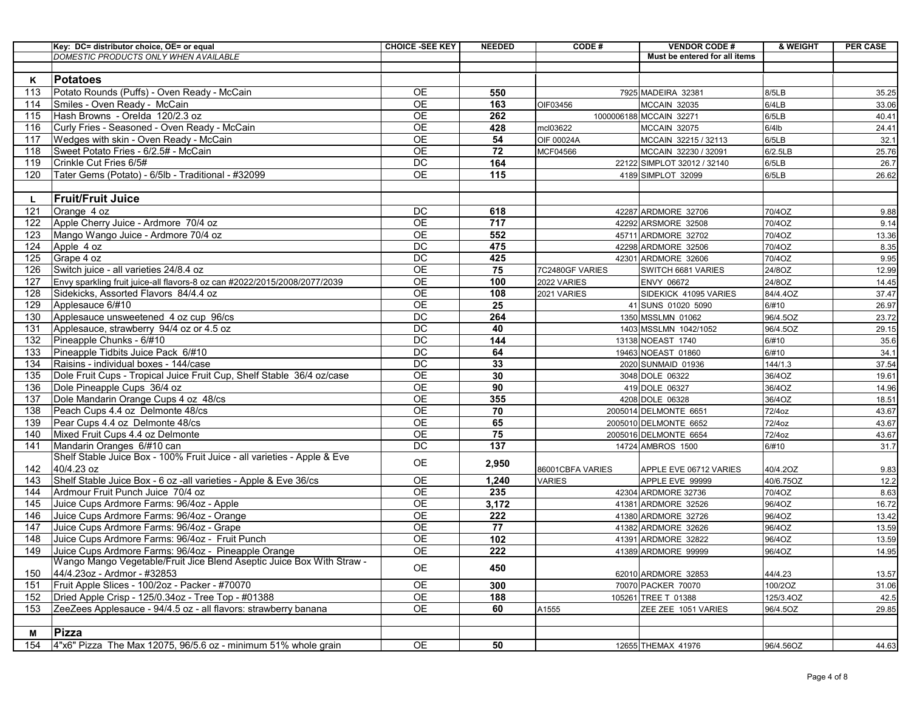|     | Key: DC= distributor choice, OE= or equal                                 | <b>CHOICE -SEE KEY</b> | <b>NEEDED</b>   | CODE#             | <b>VENDOR CODE#</b>           | & WEIGHT  | <b>PER CASE</b> |
|-----|---------------------------------------------------------------------------|------------------------|-----------------|-------------------|-------------------------------|-----------|-----------------|
|     | <b>DOMESTIC PRODUCTS ONLY WHEN AVAILABLE</b>                              |                        |                 |                   | Must be entered for all items |           |                 |
|     |                                                                           |                        |                 |                   |                               |           |                 |
| к   | <b>Potatoes</b>                                                           |                        |                 |                   |                               |           |                 |
| 113 | Potato Rounds (Puffs) - Oven Ready - McCain                               | <b>OE</b>              | 550             |                   | 7925 MADEIRA 32381            | 8/5LB     | 35.25           |
| 114 | Smiles - Oven Ready - McCain                                              | <b>OE</b>              | 163             | OIF03456          | <b>MCCAIN 32035</b>           | 6/4LB     | 33.06           |
| 115 | Hash Browns - Orelda 120/2.3 oz                                           | $\overline{OE}$        | 262             |                   | 1000006188 MCCAIN 32271       | 6/5LB     | 40.41           |
| 116 | Curly Fries - Seasoned - Oven Ready - McCain                              | <b>OE</b>              | 428             | mcl03622          | MCCAIN 32075                  | $6/4$ lb  | 24.41           |
| 117 | Wedges with skin - Oven Ready - McCain                                    | $\overline{OE}$        | 54              | <b>OIF 00024A</b> | MCCAIN 32215 / 32113          | 6/5LB     | 32.1            |
| 118 | Sweet Potato Fries - 6/2.5# - McCain                                      | $\overline{OE}$        | 72              | MCF04566          | MCCAIN 32230 / 32091          | 6/2.5LB   | 25.76           |
| 119 | Crinkle Cut Fries 6/5#                                                    | $\overline{DC}$        | 164             |                   | 22122 SIMPLOT 32012 / 32140   | 6/5LB     | 26.7            |
| 120 | Tater Gems (Potato) - 6/5lb - Traditional - #32099                        | <b>OE</b>              | 115             |                   | 4189 SIMPLOT 32099            | 6/5LB     | 26.62           |
|     |                                                                           |                        |                 |                   |                               |           |                 |
| L.  | <b>Fruit/Fruit Juice</b>                                                  |                        |                 |                   |                               |           |                 |
| 121 | Orange 4 oz                                                               | DC                     | 618             |                   | 42287 ARDMORE 32706           | 70/4OZ    | 9.88            |
| 122 | Apple Cherry Juice - Ardmore 70/4 oz                                      | $\overline{OE}$        | 717             |                   | 42292 ARSMORE 32508           | 70/4OZ    | 9.14            |
| 123 | Mango Wango Juice - Ardmore 70/4 oz                                       | <b>OE</b>              | 552             |                   | 45711 ARDMORE 32702           | 70/4OZ    | 13.36           |
| 124 | Apple 4 oz                                                                | DC                     | 475             |                   | 42298 ARDMORE 32506           | 70/4OZ    | 8.35            |
| 125 | Grape 4 oz                                                                | DC                     | 425             |                   | 42301 ARDMORE 32606           | 70/4OZ    | 9.95            |
| 126 | Switch juice - all varieties 24/8.4 oz                                    | <b>OE</b>              | 75              | 7C2480GF VARIES   | SWITCH 6681 VARIES            | 24/8OZ    | 12.99           |
| 127 | Envy sparkling fruit juice-all flavors-8 oz can #2022/2015/2008/2077/2039 | $\overline{OE}$        | 100             | 2022 VARIES       | <b>ENVY 06672</b>             | 24/8OZ    | 14.45           |
| 128 | Sidekicks, Assorted Flavors 84/4.4 oz                                     | $\overline{OE}$        | 108             | 2021 VARIES       | SIDEKICK 41095 VARIES         | 84/4.4OZ  | 37.47           |
| 129 | Applesauce 6/#10                                                          | $\overline{OE}$        | 25              |                   | 41 SUNS 01020 5090            | 6/#10     | 26.97           |
| 130 | Applesauce unsweetened 4 oz cup 96/cs                                     | DC                     | 264             |                   | 1350 MSSLMN 01062             | 96/4.5OZ  | 23.72           |
| 131 | Applesauce, strawberry 94/4 oz or 4.5 oz                                  | $\overline{DC}$        | 40              |                   | 1403 MSSLMN 1042/1052         | 96/4.5OZ  | 29.15           |
| 132 | Pineapple Chunks - 6/#10                                                  | DC                     | 144             |                   | 13138 NOEAST 1740             | 6/#10     | 35.6            |
| 133 | Pineapple Tidbits Juice Pack 6/#10                                        | DC                     | 64              |                   | 19463 NOEAST 01860            | 6/#10     | 34.1            |
| 134 | Raisins - individual boxes - 144/case                                     | $\overline{DC}$        | 33              |                   | 2020 SUNMAID 01936            | 144/1.3   | 37.54           |
| 135 | Dole Fruit Cups - Tropical Juice Fruit Cup, Shelf Stable 36/4 oz/case     | $\overline{OE}$        | 30              |                   | 3048 DOLE 06322               | 36/4OZ    | 19.61           |
| 136 | Dole Pineapple Cups 36/4 oz                                               | <b>OE</b>              | 90              |                   | 419 DOLE 06327                | 36/4OZ    | 14.96           |
| 137 | Dole Mandarin Orange Cups 4 oz 48/cs                                      | $\overline{OE}$        | 355             |                   | 4208 DOLE 06328               | 36/4OZ    | 18.51           |
| 138 | Peach Cups 4.4 oz Delmonte 48/cs                                          | <b>OE</b>              | 70              |                   | 2005014 DELMONTE 6651         | 72/4oz    | 43.67           |
| 139 | Pear Cups 4.4 oz Delmonte 48/cs                                           | <b>OE</b>              | 65              |                   | 2005010 DELMONTE 6652         | 72/4oz    | 43.67           |
| 140 | Mixed Fruit Cups 4.4 oz Delmonte                                          | $\overline{OE}$        | 75              |                   | 2005016 DELMONTE 6654         | 72/4oz    | 43.67           |
| 141 | Mandarin Oranges 6/#10 can                                                | $\overline{DC}$        | $\frac{1}{137}$ |                   | 14724 AMBROS 1500             | 6/#10     | 31.7            |
|     | Shelf Stable Juice Box - 100% Fruit Juice - all varieties - Apple & Eve   |                        |                 |                   |                               |           |                 |
| 142 | 40/4.23 oz                                                                | OE                     | 2,950           | 86001CBFA VARIES  | APPLE EVE 06712 VARIES        | 40/4.2OZ  | 9.83            |
| 143 | Shelf Stable Juice Box - 6 oz - all varieties - Apple & Eve 36/cs         | OE                     | 1,240           | <b>VARIES</b>     | APPLE EVE 99999               | 40/6.75OZ | 12.2            |
| 144 | Ardmour Fruit Punch Juice 70/4 oz                                         | $\overline{OE}$        | 235             |                   | 42304 ARDMORE 32736           | 70/4OZ    | 8.63            |
| 145 | Juice Cups Ardmore Farms: 96/4oz - Apple                                  | <b>OE</b>              | 3,172           |                   | 41381 ARDMORE 32526           | 96/4OZ    | 16.72           |
| 146 | Juice Cups Ardmore Farms: 96/4oz - Orange                                 | <b>OE</b>              | 222             |                   | 41380 ARDMORE 32726           | 96/4OZ    | 13.42           |
| 147 | Juice Cups Ardmore Farms: 96/4oz - Grape                                  | $\overline{OE}$        | $\overline{77}$ |                   | 41382 ARDMORE 32626           | 96/4OZ    | 13.59           |
| 148 | Juice Cups Ardmore Farms: 96/4oz - Fruit Punch                            | <b>OE</b>              | 102             |                   | 41391 ARDMORE 32822           | 96/4OZ    | 13.59           |
| 149 | Juice Cups Ardmore Farms: 96/4oz - Pineapple Orange                       | <b>OE</b>              | 222             |                   | 41389 ARDMORE 99999           | 96/4OZ    | 14.95           |
|     | Wango Mango Vegetable/Fruit Jice Blend Aseptic Juice Box With Straw -     | OE                     | 450             |                   |                               |           |                 |
| 150 | 44/4.23oz - Ardmor - #32853                                               |                        |                 |                   | 62010 ARDMORE 32853           | 44/4.23   | 13.57           |
| 151 | Fruit Apple Slices - 100/2oz - Packer - #70070                            | OE                     | 300             |                   | 70070 PACKER 70070            | 100/2OZ   | 31.06           |
| 152 | Dried Apple Crisp - 125/0.34oz - Tree Top - #01388                        | OE                     | 188             |                   | 105261 TREE T 01388           | 125/3.4OZ | 42.5            |
| 153 | ZeeZees Applesauce - 94/4.5 oz - all flavors: strawberry banana           | <b>OE</b>              | 60              | A1555             | ZEE ZEE 1051 VARIES           | 96/4.5OZ  | 29.85           |
|     |                                                                           |                        |                 |                   |                               |           |                 |
| М   | <b>Pizza</b>                                                              |                        |                 |                   |                               |           |                 |
| 154 | 4"x6" Pizza The Max 12075, 96/5.6 oz - minimum 51% whole grain            | OE                     | 50              |                   | 12655 THEMAX 41976            | 96/4.56OZ | 44.63           |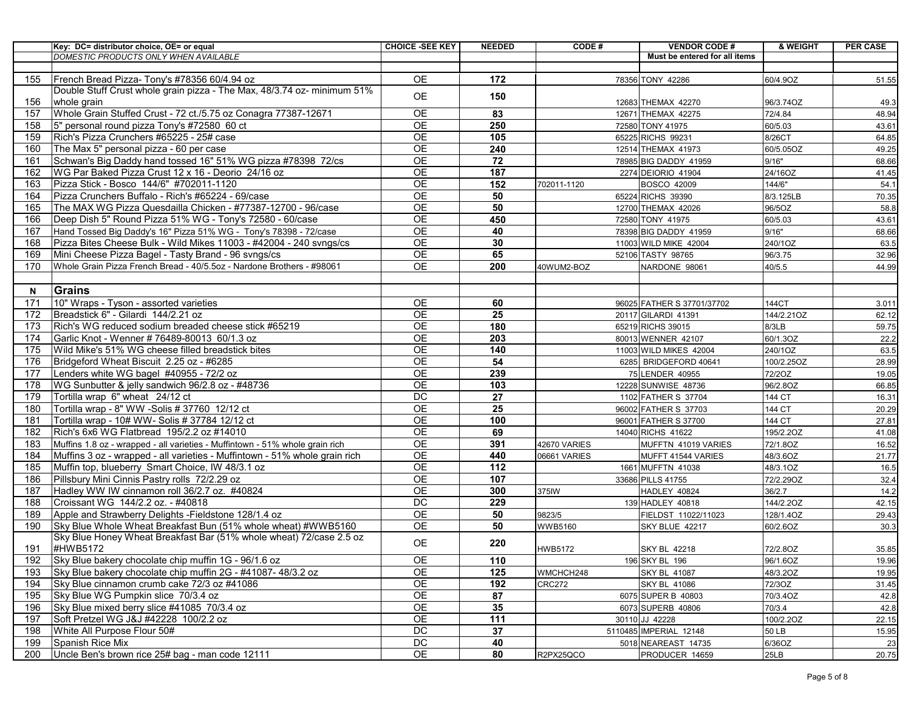|     | Key: DC= distributor choice, OE= or equal                                    | <b>CHOICE -SEE KEY</b> | <b>NEEDED</b>    | CODE#          | <b>VENDOR CODE#</b>           | & WEIGHT     | <b>PER CASE</b> |
|-----|------------------------------------------------------------------------------|------------------------|------------------|----------------|-------------------------------|--------------|-----------------|
|     | DOMESTIC PRODUCTS ONLY WHEN AVAILABLE                                        |                        |                  |                | Must be entered for all items |              |                 |
|     |                                                                              |                        |                  |                |                               |              |                 |
| 155 | French Bread Pizza- Tony's #78356 60/4.94 oz                                 | <b>OE</b>              | 172              |                | 78356 TONY 42286              | 60/4.9OZ     | 51.55           |
|     | Double Stuff Crust whole grain pizza - The Max, 48/3.74 oz- minimum 51%      | OE                     | 150              |                |                               |              |                 |
| 156 | whole grain                                                                  |                        |                  |                | 12683 THEMAX 42270            | 96/3.74OZ    | 49.3            |
| 157 | Whole Grain Stuffed Crust - 72 ct./5.75 oz Conagra 77387-12671               | $\overline{OE}$        | 83               |                | 12671 THEMAX 42275            | 72/4.84      | 48.94           |
| 158 | 5" personal round pizza Tony's #72580 60 ct                                  | <b>OE</b>              | 250              |                | 72580 TONY 41975              | 60/5.03      | 43.61           |
| 159 | Rich's Pizza Crunchers #65225 - 25# case                                     | <b>OE</b>              | 105              |                | 65225 RICHS 99231             | 8/26CT       | 64.85           |
| 160 | The Max 5" personal pizza - 60 per case                                      | <b>OE</b>              | 240              |                | 12514 THEMAX 41973            | 60/5.05OZ    | 49.25           |
| 161 | Schwan's Big Daddy hand tossed 16" 51% WG pizza #78398 72/cs                 | <b>OE</b>              | 72               |                | 78985 BIG DADDY 41959         | 9/16"        | 68.66           |
| 162 | WG Par Baked Pizza Crust 12 x 16 - Deorio 24/16 oz                           | $\overline{OE}$        | 187              |                | 2274 DEIORIO 41904            | 24/16OZ      | 41.45           |
| 163 | Pizza Stick - Bosco 144/6" #702011-1120                                      | $\overline{OE}$        | $\overline{152}$ | 702011-1120    | <b>BOSCO 42009</b>            | 144/6"       | 54.1            |
| 164 | Pizza Crunchers Buffalo - Rich's #65224 - 69/case                            | $\overline{OE}$        | 50               |                | 65224 RICHS 39390             | 8/3.125LB    | 70.35           |
| 165 | The MAX WG Pizza Quesdailla Chicken - #77387-12700 - 96/case                 | <b>OE</b>              | 50               |                | 12700 THEMAX 42026            | 96/5OZ       | 58.8            |
| 166 | Deep Dish 5" Round Pizza 51% WG - Tony's 72580 - 60/case                     | $\overline{OE}$        | 450              |                | 72580 TONY 41975              | 60/5.03      | 43.61           |
| 167 | Hand Tossed Big Daddy's 16" Pizza 51% WG - Tony's 78398 - 72/case            | <b>OE</b>              | 40               |                | 78398 BIG DADDY 41959         | 9/16"        | 68.66           |
| 168 | Pizza Bites Cheese Bulk - Wild Mikes 11003 - #42004 - 240 svngs/cs           | <b>OE</b>              | 30               |                | 11003 WILD MIKE 42004         | 240/1OZ      | 63.5            |
| 169 | Mini Cheese Pizza Bagel - Tasty Brand - 96 svngs/cs                          | $\overline{OE}$        | 65               |                | 52106 TASTY 98765             | 96/3.75      | 32.96           |
| 170 | Whole Grain Pizza French Bread - 40/5.5oz - Nardone Brothers - #98061        | <b>OE</b>              | 200              | 40WUM2-BOZ     | NARDONE 98061                 | 40/5.5       | 44.99           |
|     |                                                                              |                        |                  |                |                               |              |                 |
| N   | Grains                                                                       |                        |                  |                |                               |              |                 |
| 171 | 10" Wraps - Tyson - assorted varieties                                       | OE.                    | 60               |                | 96025 FATHER S 37701/37702    | 144CT        | 3.011           |
| 172 | Breadstick 6" - Gilardi 144/2.21 oz                                          | <b>OE</b>              | 25               |                | 20117 GILARDI 41391           | 144/2.21OZ   | 62.12           |
| 173 | Rich's WG reduced sodium breaded cheese stick #65219                         | <b>OE</b>              | 180              |                | 65219 RICHS 39015             | 8/3LB        | 59.75           |
| 174 | Garlic Knot - Wenner # 76489-80013 60/1.3 oz                                 | <b>OE</b>              | 203              |                | 80013 WENNER 42107            | 60/1.3OZ     | 22.2            |
| 175 | Wild Mike's 51% WG cheese filled breadstick bites                            | $\overline{OE}$        | 140              |                | 11003 WILD MIKES 42004        | 240/1OZ      | 63.5            |
| 176 | Bridgeford Wheat Biscuit 2.25 oz - #6285                                     | <b>OE</b>              | 54               |                | 6285 BRIDGEFORD 40641         | 100/2.25OZ   | 28.99           |
| 177 | Lenders white WG bagel #40955 - 72/2 oz                                      | <b>OE</b>              | 239              |                | 75 LENDER 40955               | 72/20Z       | 19.05           |
| 178 | WG Sunbutter & jelly sandwich 96/2.8 oz - #48736                             | <b>OE</b>              | 103              |                | 12228 SUNWISE 48736           | 96/2.8OZ     | 66.85           |
| 179 | Tortilla wrap 6" wheat 24/12 ct                                              | DC                     | 27               |                | 1102 FATHER S 37704           | 144 CT       | 16.31           |
| 180 | Tortilla wrap - 8" WW -Solis # 37760 12/12 ct                                | OE                     | 25               |                | 96002 FATHER S 37703          | 144 CT       | 20.29           |
| 181 | Tortilla wrap - 10# WW- Solis # 37784 12/12 ct                               | $\overline{OE}$        | 100              |                | 96001 FATHER S 37700          | 144 CT       | 27.81           |
| 182 | Rich's 6x6 WG Flatbread 195/2.2 oz #14010                                    | $\overline{OE}$        | 69               |                | 14040 RICHS 41622             | 195/2.2OZ    | 41.08           |
| 183 | Muffins 1.8 oz - wrapped - all varieties - Muffintown - 51% whole grain rich | <b>OE</b>              | 391              | 42670 VARIES   | MUFFTN 41019 VARIES           | 72/1.8OZ     | 16.52           |
| 184 | Muffins 3 oz - wrapped - all varieties - Muffintown - 51% whole grain rich   | <b>OE</b>              | 440              | 06661 VARIES   | MUFFT 41544 VARIES            | 48/3.6OZ     | 21.77           |
| 185 | Muffin top, blueberry Smart Choice, IW 48/3.1 oz                             | <b>OE</b>              | 112              |                | 1661 MUFFTN 41038             | 48/3.1OZ     | 16.5            |
| 186 | Pillsbury Mini Cinnis Pastry rolls 72/2.29 oz                                | <b>OE</b>              | 107              |                | 33686 PILLS 41755             | 72/2.29OZ    | 32.4            |
| 187 | Hadley WW IW cinnamon roll 36/2.7 oz. #40824                                 | <b>OE</b>              | 300              | 375IW          | HADLEY 40824                  | 36/2.7       | 14.2            |
| 188 | Croissant WG 144/2.2 oz. - #40818                                            | <b>DC</b>              | 229              |                | 139 HADLEY 40818              | 144/2.2OZ    | 42.15           |
| 189 | Apple and Strawberry Delights - Fieldstone 128/1.4 oz                        | <b>OE</b>              | 50               | 9823/5         | FIELDST 11022/11023           | 128/1.4OZ    | 29.43           |
| 190 | Sky Blue Whole Wheat Breakfast Bun (51% whole wheat) #WWB5160                | $\overline{OE}$        | 50               | <b>WWB5160</b> | SKY BLUE 42217                | 60/2.6OZ     | 30.3            |
|     | Sky Blue Honey Wheat Breakfast Bar (51% whole wheat) 72/case 2.5 oz          | <b>OE</b>              | 220              |                |                               |              |                 |
| 191 | #HWB5172                                                                     |                        |                  | <b>HWB5172</b> | <b>SKY BL 42218</b>           | 72/2.8OZ     | 35.85           |
| 192 | Sky Blue bakery chocolate chip muffin 1G - 96/1.6 oz                         | OE                     | 110              |                | 196 SKY BL 196                | 96/1.6OZ     | 19.96           |
| 193 | Sky Blue bakery chocolate chip muffin 2G - #41087-48/3.2 oz                  | OE                     | 125              | WMCHCH248      | <b>SKY BL 41087</b>           | 48/3.2OZ     | 19.95           |
| 194 | Sky Blue cinnamon crumb cake 72/3 oz #41086                                  | $\overline{OE}$        | 192              | <b>CRC272</b>  | <b>SKY BL 41086</b>           | 72/3OZ       | 31.45           |
| 195 | Sky Blue WG Pumpkin slice 70/3.4 oz                                          | <b>OE</b>              | 87               |                | 6075 SUPER B 40803            | 70/3.4OZ     | 42.8            |
| 196 | Sky Blue mixed berry slice #41085 70/3.4 oz                                  | <b>OE</b>              | 35               |                | 6073 SUPERB 40806             | 70/3.4       | 42.8            |
| 197 | Soft Pretzel WG J&J #42228 100/2.2 oz                                        | OE                     | 111              |                | 30110 JJ 42228                | 100/2.2OZ    | 22.15           |
| 198 | White All Purpose Flour 50#                                                  | DC                     | $\overline{37}$  |                | 5110485 IMPERIAL 12148        | <b>50 LB</b> | 15.95           |
| 199 | Spanish Rice Mix                                                             | DC                     | 40               |                | 5018 NEAREAST 14735           | 6/36OZ       | 23              |
| 200 | Uncle Ben's brown rice 25# bag - man code 12111                              | <b>OE</b>              | 80               | R2PX25QCO      | PRODUCER 14659                | 25LB         | 20.75           |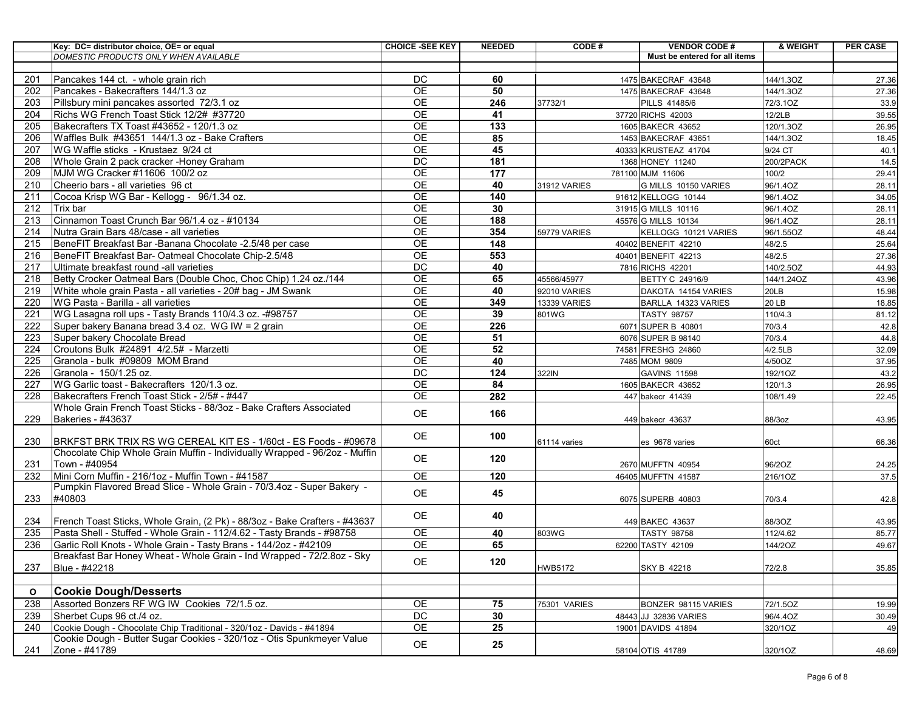|              | Key: DC= distributor choice, OE= or equal                                  | <b>CHOICE -SEE KEY</b> | <b>NEEDED</b> | CODE#               | <b>VENDOR CODE#</b>                         | & WEIGHT           | <b>PER CASE</b> |
|--------------|----------------------------------------------------------------------------|------------------------|---------------|---------------------|---------------------------------------------|--------------------|-----------------|
|              | DOMESTIC PRODUCTS ONLY WHEN AVAILABLE                                      |                        |               |                     | Must be entered for all items               |                    |                 |
| 201          | Pancakes 144 ct. - whole grain rich                                        | <b>DC</b>              | 60            |                     | 1475 BAKECRAF 43648                         | 144/1.3OZ          | 27.36           |
| 202          | Pancakes - Bakecrafters 144/1.3 oz                                         | <b>OE</b>              | 50            |                     | 1475 BAKECRAF 43648                         | 144/1.3OZ          | 27.36           |
| 203          | Pillsbury mini pancakes assorted 72/3.1 oz                                 | <b>OE</b>              | 246           | 37732/1             | PILLS 41485/6                               | 72/3.1OZ           | 33.9            |
| 204          | Richs WG French Toast Stick 12/2# #37720                                   | OE                     | 41            |                     | 37720 RICHS 42003                           | 12/2LB             | 39.55           |
| 205          | Bakecrafters TX Toast #43652 - 120/1.3 oz                                  | <b>OE</b>              | 133           |                     | 1605 BAKECR 43652                           | 120/1.3OZ          | 26.95           |
| 206          | Waffles Bulk #43651 144/1.3 oz - Bake Crafters                             | <b>OE</b>              | 85            |                     | 1453 BAKECRAF 43651                         | 144/1.3OZ          | 18.45           |
| 207          | WG Waffle sticks - Krustaez 9/24 ct                                        | <b>OE</b>              | 45            |                     | 40333 KRUSTEAZ 41704                        | 9/24 CT            | 40.1            |
| 208          | Whole Grain 2 pack cracker - Honey Graham                                  | DC                     | 181           |                     | 1368 HONEY 11240                            | 200/2PACK          | 14.5            |
| 209          | MJM WG Cracker #11606 100/2 oz                                             | <b>OE</b>              | 177           |                     | 781100 MJM 11606                            | 100/2              | 29.41           |
| 210          | Cheerio bars - all varieties 96 ct                                         | <b>OE</b>              | 40            | 31912 VARIES        | G MILLS 10150 VARIES                        | 96/1.4OZ           | 28.11           |
| 211          | Cocoa Krisp WG Bar - Kellogg - 96/1.34 oz.                                 | <b>OE</b>              | 140           |                     | 91612 KELLOGG 10144                         | 96/1.4OZ           | 34.05           |
| 212          | Trix bar                                                                   | <b>OE</b>              | 30            |                     | 31915 G MILLS 10116                         | 96/1.4OZ           | 28.11           |
| 213          | Cinnamon Toast Crunch Bar 96/1.4 oz - #10134                               | OE                     | 188           |                     | 45576 G MILLS 10134                         | 96/1.4OZ           | 28.11           |
| 214          | Nutra Grain Bars 48/case - all varieties                                   | $\overline{OE}$        | 354           | 59779 VARIES        | KELLOGG 10121 VARIES                        | 96/1.55OZ          | 48.44           |
| 215          | BeneFIT Breakfast Bar -Banana Chocolate -2.5/48 per case                   | <b>OE</b>              | 148           |                     | 40402 BENEFIT 42210                         | 48/2.5             | 25.64           |
| 216          | BeneFIT Breakfast Bar- Oatmeal Chocolate Chip-2.5/48                       | <b>OE</b>              | 553           |                     | 40401 BENEFIT 42213                         | 48/2.5             | 27.36           |
| 217          | Ultimate breakfast round -all varieties                                    | <b>DC</b>              | 40            |                     | 7816 RICHS 42201                            | 140/2.5OZ          | 44.93           |
| 218          | Betty Crocker Oatmeal Bars (Double Choc, Choc Chip) 1.24 oz./144           | <b>OE</b>              | 65            | 45566/45977         | BETTY C 24916/9                             | 144/1.24OZ         | 43.96           |
| 219          | White whole grain Pasta - all varieties - 20# bag - JM Swank               | <b>OE</b>              | 40            | 92010 VARIES        | DAKOTA 14154 VARIES                         | 20LB               | 15.98           |
| 220          | <b>WG Pasta - Barilla - all varieties</b>                                  | OE                     | 349           | <b>13339 VARIES</b> | BARLLA 14323 VARIES                         | 20 LB              | 18.85           |
| 221          | WG Lasagna roll ups - Tasty Brands 110/4.3 oz. -#98757                     | OE                     | 39            | 801WG               | <b>TASTY 98757</b>                          | 110/4.3            | 81.12           |
| 222          | Super bakery Banana bread 3.4 oz. WG IW = 2 grain                          | <b>OE</b>              | 226           |                     | 6071 SUPER B 40801                          | 70/3.4             | 42.8            |
| 223          | Super bakery Chocolate Bread                                               | OE<br>$\overline{OE}$  | 51<br>52      |                     | 6076 SUPER B 98140                          | 70/3.4             | 44.8            |
| 224<br>225   | Croutons Bulk #24891 4/2.5# - Marzetti<br>Granola - bulk #09809 MOM Brand  | <b>OE</b>              | 40            |                     | 74581 FRESHG 24860<br>7485 MOM 9809         | 4/2.5LB<br>4/50OZ  | 32.09           |
| 226          | Granola - 150/1.25 oz.                                                     | DC                     | 124           | 322IN               |                                             |                    | 37.95           |
| 227          | WG Garlic toast - Bakecrafters 120/1.3 oz.                                 | <b>OE</b>              | 84            |                     | <b>GAVINS 11598</b><br>1605 BAKECR 43652    | 192/1OZ<br>120/1.3 | 43.2<br>26.95   |
| 228          | Bakecrafters French Toast Stick - 2/5# - #447                              | OE                     | 282           |                     | 447 bakecr 41439                            | 108/1.49           | 22.45           |
|              | Whole Grain French Toast Sticks - 88/3oz - Bake Crafters Associated        |                        |               |                     |                                             |                    |                 |
| 229          | Bakeries - #43637                                                          | <b>OE</b>              | 166           |                     | 449 bakecr 43637                            | 88/3oz             | 43.95           |
|              |                                                                            |                        |               |                     |                                             |                    |                 |
| 230          | BRKFST BRK TRIX RS WG CEREAL KIT ES - 1/60ct - ES Foods - #09678           | <b>OE</b>              | 100           | 61114 varies        | es 9678 varies                              | 60ct               | 66.36           |
|              | Chocolate Chip Whole Grain Muffin - Individually Wrapped - 96/2oz - Muffin |                        |               |                     |                                             |                    |                 |
| 231          | Town - #40954                                                              | <b>OE</b>              | 120           |                     | 2670 MUFFTN 40954                           | 96/2OZ             | 24.25           |
| 232          | Mini Corn Muffin - 216/1oz - Muffin Town - #41587                          | OE                     | 120           |                     | 46405 MUFFTN 41587                          | 216/1OZ            | 37.5            |
|              | Pumpkin Flavored Bread Slice - Whole Grain - 70/3.4oz - Super Bakery -     | <b>OE</b>              | 45            |                     |                                             |                    |                 |
| 233          | #40803                                                                     |                        |               |                     | 6075 SUPERB 40803                           | 70/3.4             | 42.8            |
|              |                                                                            | <b>OE</b>              | 40            |                     |                                             |                    |                 |
| 234          | French Toast Sticks, Whole Grain, (2 Pk) - 88/3oz - Bake Crafters - #43637 |                        |               |                     | 449 BAKEC 43637                             | 88/3OZ             | 43.95           |
| 235          | Pasta Shell - Stuffed - Whole Grain - 112/4.62 - Tasty Brands - #98758     | <b>OE</b>              | 40            | 803WG               | <b>TASTY 98758</b>                          | 112/4.62           | 85.77           |
| 236          | Garlic Roll Knots - Whole Grain - Tasty Brans - 144/2oz - #42109           | <b>OE</b>              | 65            |                     | 62200 TASTY 42109                           | 144/2OZ            | 49.67           |
|              | Breakfast Bar Honey Wheat - Whole Grain - Ind Wrapped - 72/2.8oz - Sky     | OE                     | 120           |                     |                                             |                    |                 |
| 237          | Blue - #42218                                                              |                        |               | <b>HWB5172</b>      | SKY B 42218                                 | 72/2.8             | 35.85           |
|              | <b>Cookie Dough/Desserts</b>                                               |                        |               |                     |                                             |                    |                 |
| $\mathbf{o}$ | Assorted Bonzers RF WG IW Cookies 72/1.5 oz.                               | <b>OE</b>              |               |                     |                                             |                    |                 |
| 238<br>239   | Sherbet Cups 96 ct./4 oz.                                                  | $\overline{DC}$        | 75<br>30      | 75301 VARIES        | BONZER 98115 VARIES                         | 72/1.5OZ           | 19.99           |
| 240          | Cookie Dough - Chocolate Chip Traditional - 320/1oz - Davids - #41894      | OE                     | 25            |                     | 48443 JJ 32836 VARIES<br>19001 DAVIDS 41894 | 96/4.4OZ           | 30.49           |
|              | Cookie Dough - Butter Sugar Cookies - 320/1oz - Otis Spunkmeyer Value      |                        |               |                     |                                             | 320/1OZ            | 49              |
| 241          | Zone - #41789                                                              | OE                     | 25            |                     | 58104 OTIS 41789                            | 320/1OZ            | 48.69           |
|              |                                                                            |                        |               |                     |                                             |                    |                 |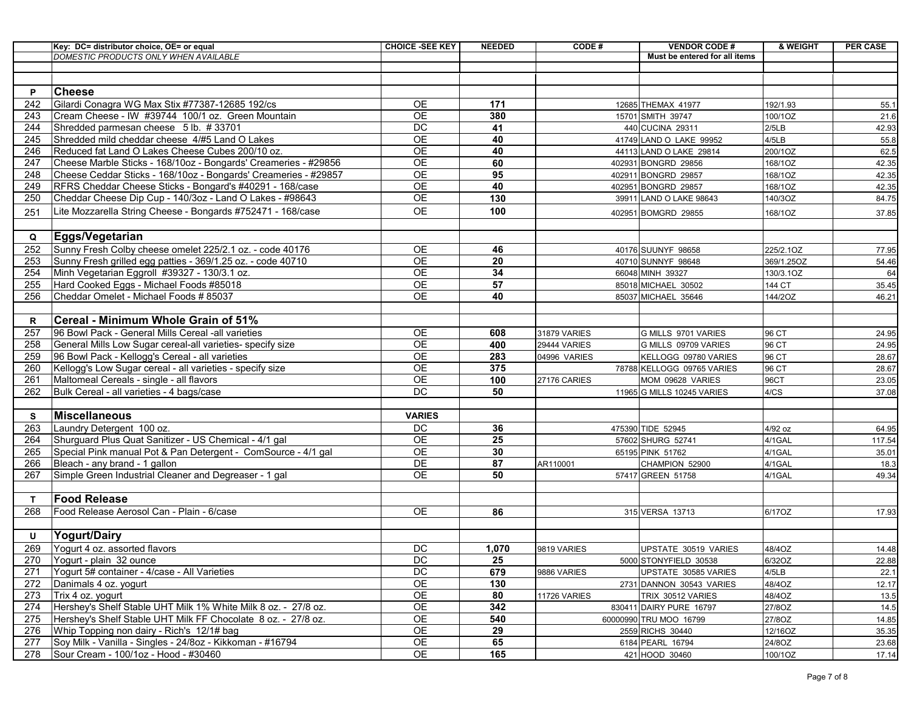|              | Key: DC= distributor choice, OE= or equal                       | <b>CHOICE -SEE KEY</b> | <b>NEEDED</b>   | CODE#                               | <b>VENDOR CODE#</b>           | & WEIGHT       | <b>PER CASE</b> |
|--------------|-----------------------------------------------------------------|------------------------|-----------------|-------------------------------------|-------------------------------|----------------|-----------------|
|              | DOMESTIC PRODUCTS ONLY WHEN AVAILABLE                           |                        |                 |                                     | Must be entered for all items |                |                 |
|              |                                                                 |                        |                 |                                     |                               |                |                 |
|              |                                                                 |                        |                 |                                     |                               |                |                 |
| P            | <b>Cheese</b>                                                   |                        |                 |                                     |                               |                |                 |
| 242          | Gilardi Conagra WG Max Stix #77387-12685 192/cs                 | OE                     | 171             |                                     | 12685 THEMAX 41977            | 192/1.93       | 55.1            |
| 243          | Cream Cheese - IW #39744 100/1 oz. Green Mountain               | <b>OE</b>              | 380             |                                     | 15701 SMITH 39747             | 100/1OZ        | 21.6            |
| 244          | Shredded parmesan cheese 5 lb. #33701                           | $\overline{DC}$        | 41              |                                     | 440 CUCINA 29311              | 2/5LB          | 42.93           |
| 245          | Shredded mild cheddar cheese 4/#5 Land O Lakes                  | OE                     | 40              |                                     | 41749 LAND O LAKE 99952       | 4/5LB          | 55.8            |
| 246          | Reduced fat Land O Lakes Cheese Cubes 200/10 oz.                | OE                     | 40              |                                     | 44113 LAND O LAKE 29814       | 200/1OZ        | 62.5            |
| 247          | Cheese Marble Sticks - 168/10oz - Bongards' Creameries - #29856 | $\overline{OE}$        | 60              |                                     | 402931 BONGRD 29856           | 168/1OZ        | 42.35           |
| 248          | Cheese Ceddar Sticks - 168/10oz - Bongards' Creameries - #29857 | $\overline{OE}$        | 95              |                                     | 402911 BONGRD 29857           | 168/1OZ        | 42.35           |
| 249          | RFRS Cheddar Cheese Sticks - Bongard's #40291 - 168/case        | OE                     | 40              |                                     | 402951 BONGRD 29857           | 168/1OZ        | 42.35           |
| 250          | Cheddar Cheese Dip Cup - 140/3oz - Land O Lakes - #98643        | $\overline{OE}$        | 130             |                                     | 39911 LAND O LAKE 98643       | 140/3OZ        | 84.75           |
| 251          | Lite Mozzarella String Cheese - Bongards #752471 - 168/case     | <b>OE</b>              | 100             |                                     | 402951 BOMGRD 29855           | 168/1OZ        | 37.85           |
|              |                                                                 |                        |                 |                                     |                               |                |                 |
| Q            | <b>Eggs/Vegetarian</b>                                          |                        |                 |                                     |                               |                |                 |
| 252          | Sunny Fresh Colby cheese omelet 225/2.1 oz. - code 40176        | OE                     | 46              |                                     | 40176 SUUNYF 98658            | 225/2.1OZ      | 77.95           |
| 253          | Sunny Fresh grilled egg patties - 369/1.25 oz. - code 40710     | <b>OE</b>              | 20              |                                     | 40710 SUNNYF 98648            | 369/1.25OZ     | 54.46           |
| 254          | Minh Vegetarian Eggroll #39327 - 130/3.1 oz.                    | <b>OE</b>              | 34              |                                     | 66048 MINH 39327              | 130/3.1OZ      | 64              |
| 255          | Hard Cooked Eggs - Michael Foods #85018                         | OE                     | 57              |                                     | 85018 MICHAEL 30502           | 144 CT         | 35.45           |
| 256          | Cheddar Omelet - Michael Foods # 85037                          | OE                     | 40              |                                     | 85037 MICHAEL 35646           | 144/2OZ        | 46.21           |
|              |                                                                 |                        |                 |                                     |                               |                |                 |
| R            | Cereal - Minimum Whole Grain of 51%                             |                        |                 |                                     |                               |                |                 |
|              |                                                                 |                        |                 |                                     |                               |                |                 |
| 257          | 96 Bowl Pack - General Mills Cereal -all varieties              | OE<br>$\overline{OE}$  | 608             | 31879 VARIES                        | G MILLS 9701 VARIES           | 96 CT          | 24.95           |
| 258<br>259   | General Mills Low Sugar cereal-all varieties- specify size      | OE                     | 400<br>283      | <b>29444 VARIES</b><br>04996 VARIES | G MILLS 09709 VARIES          | 96 CT<br>96 CT | 24.95           |
|              | 96 Bowl Pack - Kellogg's Cereal - all varieties                 |                        |                 |                                     | KELLOGG 09780 VARIES          |                | 28.67           |
| 260          | Kellogg's Low Sugar cereal - all varieties - specify size       | $\overline{OE}$        | 375             |                                     | 78788 KELLOGG 09765 VARIES    | 96 CT          | 28.67           |
| 261          | Maltomeal Cereals - single - all flavors                        | $\overline{OE}$        | 100             | 27176 CARIES                        | MOM 09628 VARIES              | 96CT           | 23.05           |
| 262          | Bulk Cereal - all varieties - 4 bags/case                       | DC                     | 50              |                                     | 11965 G MILLS 10245 VARIES    | 4/CS           | 37.08           |
|              | Miscellaneous                                                   |                        |                 |                                     |                               |                |                 |
| s            |                                                                 | <b>VARIES</b>          |                 |                                     |                               |                |                 |
| 263          | Laundry Detergent 100 oz.                                       | DC                     | 36              |                                     | 475390 TIDE 52945             | 4/92 oz        | 64.95           |
| 264          | Shurguard Plus Quat Sanitizer - US Chemical - 4/1 gal           | OE                     | $\overline{25}$ |                                     | 57602 SHURG 52741             | 4/1GAL         | 117.54          |
| 265          | Special Pink manual Pot & Pan Detergent - ComSource - 4/1 gal   | $\overline{OE}$        | 30              |                                     | 65195 PINK 51762              | 4/1GAL         | 35.01           |
| 266          | Bleach - any brand - 1 gallon                                   | DE                     | 87              | AR110001                            | CHAMPION 52900                | 4/1GAL         | 18.3            |
| 267          | Simple Green Industrial Cleaner and Degreaser - 1 gal           | $\overline{OE}$        | 50              |                                     | 57417 GREEN 51758             | 4/1GAL         | 49.34           |
|              |                                                                 |                        |                 |                                     |                               |                |                 |
| $\mathbf{T}$ | <b>Food Release</b>                                             |                        |                 |                                     |                               |                |                 |
| 268          | Food Release Aerosol Can - Plain - 6/case                       | OE                     | 86              |                                     | 315 VERSA 13713               | 6/17OZ         | 17.93           |
|              |                                                                 |                        |                 |                                     |                               |                |                 |
| U            | <b>Yogurt/Dairy</b>                                             |                        |                 |                                     |                               |                |                 |
| 269          | Yogurt 4 oz. assorted flavors                                   | DC                     | 1,070           | 9819 VARIES                         | UPSTATE 30519 VARIES          | 48/4OZ         | 14.48           |
| 270          | Yogurt - plain 32 ounce                                         | DC                     | 25              |                                     | 5000 STONYFIELD 30538         | 6/32OZ         | 22.88           |
| 271          | Yogurt 5# container - 4/case - All Varieties                    | DC                     | 679             | 9886 VARIES                         | UPSTATE 30585 VARIES          | 4/5LB          | 22.1            |
| 272          | Danimals 4 oz. yogurt                                           | OE                     | 130             |                                     | 2731 DANNON 30543 VARIES      | 48/4OZ         | 12.17           |
| 273          | Trix 4 oz. yogurt                                               | OE                     | 80              | 11726 VARIES                        | TRIX 30512 VARIES             | 48/4OZ         | 13.5            |
| 274          | Hershey's Shelf Stable UHT Milk 1% White Milk 8 oz. - 27/8 oz.  | $\mathsf{OE}$          | 342             |                                     | 830411 DAIRY PURE 16797       | 27/8OZ         | 14.5            |
| 275          | Hershey's Shelf Stable UHT Milk FF Chocolate 8 oz. - 27/8 oz.   | OE                     | 540             |                                     | 60000990 TRU MOO 16799        | 27/8OZ         | 14.85           |
| 276          | Whip Topping non dairy - Rich's 12/1# bag                       | OE                     | 29              |                                     | 2559 RICHS 30440              | 12/16OZ        | 35.35           |
| 277          | Soy Milk - Vanilla - Singles - 24/8oz - Kikkoman - #16794       | OE                     | 65              |                                     | 6184 PEARL 16794              | 24/8OZ         | 23.68           |
| 278          | Sour Cream - 100/1oz - Hood - #30460                            | OE                     | 165             |                                     | 421 HOOD 30460                | 100/1OZ        | 17.14           |